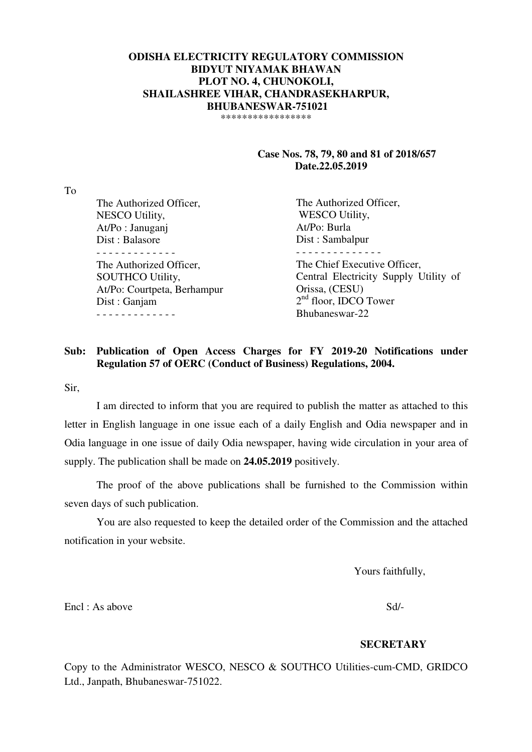### **ODISHA ELECTRICITY REGULATORY COMMISSION BIDYUT NIYAMAK BHAWAN PLOT NO. 4, CHUNOKOLI, SHAILASHREE VIHAR, CHANDRASEKHARPUR, BHUBANESWAR-751021**  \*\*\*\*\*\*\*\*\*\*\*\*\*\*\*\*\*

 **Case Nos. 78, 79, 80 and 81 of 2018/657 Date.22.05.2019** 

To

| . <i>. .</i> |                             |                                       |
|--------------|-----------------------------|---------------------------------------|
|              | The Authorized Officer,     | The Authorized Officer,               |
|              | NESCO Utility,              | <b>WESCO Utility,</b>                 |
|              | At/Po: Januganj             | At/Po: Burla                          |
|              | Dist: Balasore              | Dist: Sambalpur                       |
|              |                             |                                       |
|              | The Authorized Officer,     | The Chief Executive Officer,          |
|              | <b>SOUTHCO Utility,</b>     | Central Electricity Supply Utility of |
|              | At/Po: Courtpeta, Berhampur | Orissa, (CESU)                        |
|              | Dist : Ganjam               | $2nd$ floor, IDCO Tower               |
|              |                             | Bhubaneswar-22                        |
|              |                             |                                       |

## **Sub: Publication of Open Access Charges for FY 2019-20 Notifications under Regulation 57 of OERC (Conduct of Business) Regulations, 2004.**

Sir,

 I am directed to inform that you are required to publish the matter as attached to this letter in English language in one issue each of a daily English and Odia newspaper and in Odia language in one issue of daily Odia newspaper, having wide circulation in your area of supply. The publication shall be made on **24.05.2019** positively.

 The proof of the above publications shall be furnished to the Commission within seven days of such publication.

 You are also requested to keep the detailed order of the Commission and the attached notification in your website.

Yours faithfully,

Encl : As above Sd/-

#### **SECRETARY**

Copy to the Administrator WESCO, NESCO & SOUTHCO Utilities-cum-CMD, GRIDCO Ltd., Janpath, Bhubaneswar-751022.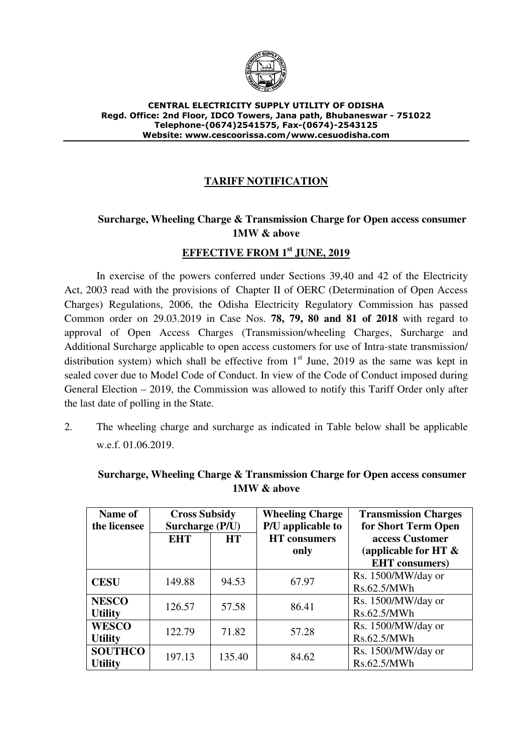

### CENTRAL ELECTRICITY SUPPLY UTILITY OF ODISHA Regd. Office: 2nd Floor, IDCO Towers, Jana path, Bhubaneswar - 751022 Telephone-(0674)2541575, Fax-(0674)-2543125 Website: www.cescoorissa.com/www.cesuodisha.com

# **TARIFF NOTIFICATION**

# **Surcharge, Wheeling Charge & Transmission Charge for Open access consumer 1MW & above**

## **EFFECTIVE FROM 1st JUNE, 2019**

In exercise of the powers conferred under Sections 39,40 and 42 of the Electricity Act, 2003 read with the provisions of Chapter II of OERC (Determination of Open Access Charges) Regulations, 2006, the Odisha Electricity Regulatory Commission has passed Common order on 29.03.2019 in Case Nos. **78, 79, 80 and 81 of 2018** with regard to approval of Open Access Charges (Transmission/wheeling Charges, Surcharge and Additional Surcharge applicable to open access customers for use of Intra-state transmission/ distribution system) which shall be effective from  $1<sup>st</sup>$  June, 2019 as the same was kept in sealed cover due to Model Code of Conduct. In view of the Code of Conduct imposed during General Election – 2019, the Commission was allowed to notify this Tariff Order only after the last date of polling in the State.

2. The wheeling charge and surcharge as indicated in Table below shall be applicable w.e.f. 01.06.2019.

| Name of<br>the licensee          | <b>Cross Subsidy</b><br>Surcharge (P/U) |           | <b>Wheeling Charge</b><br>P/U applicable to | <b>Transmission Charges</b><br>for Short Term Open |
|----------------------------------|-----------------------------------------|-----------|---------------------------------------------|----------------------------------------------------|
|                                  | <b>EHT</b>                              | <b>HT</b> | <b>HT</b> consumers<br>only                 | access Customer<br>(applicable for HT $\&$         |
|                                  |                                         |           |                                             | <b>EHT</b> consumers)                              |
| <b>CESU</b>                      | 149.88                                  | 94.53     | 67.97                                       | Rs. 1500/MW/day or<br>Rs.62.5/MWh                  |
| <b>NESCO</b><br><b>Utility</b>   | 126.57                                  | 57.58     | 86.41                                       | Rs. 1500/MW/day or<br>Rs.62.5/MWh                  |
| <b>WESCO</b><br><b>Utility</b>   | 122.79                                  | 71.82     | 57.28                                       | Rs. 1500/MW/day or<br>Rs.62.5/MWh                  |
| <b>SOUTHCO</b><br><b>Utility</b> | 197.13                                  | 135.40    | 84.62                                       | Rs. 1500/MW/day or<br>Rs.62.5/MWh                  |

**Surcharge, Wheeling Charge & Transmission Charge for Open access consumer 1MW & above**